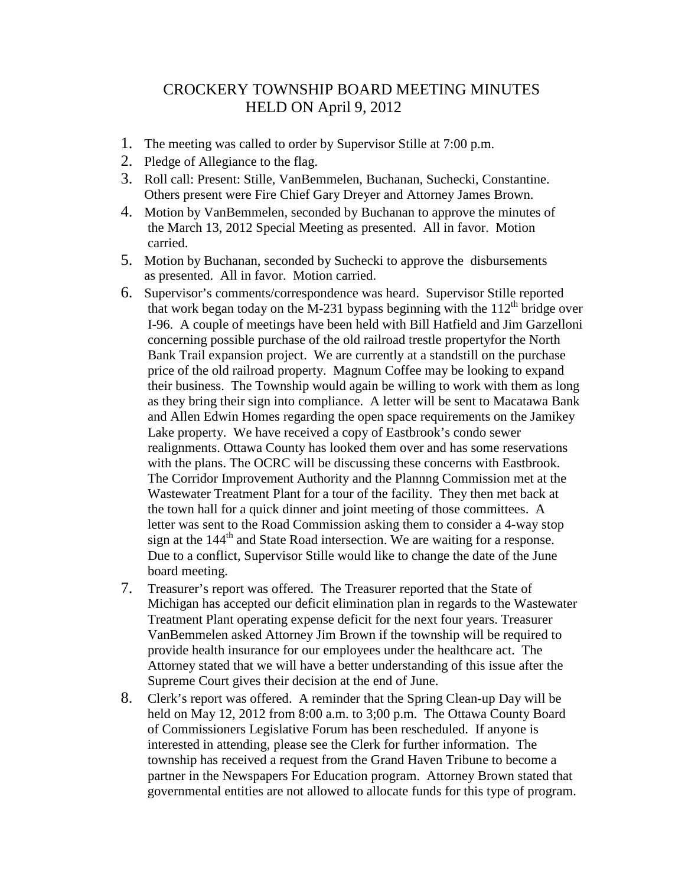## CROCKERY TOWNSHIP BOARD MEETING MINUTES HELD ON April 9, 2012

- 1. The meeting was called to order by Supervisor Stille at 7:00 p.m.
- 2. Pledge of Allegiance to the flag.
- 3. Roll call: Present: Stille, VanBemmelen, Buchanan, Suchecki, Constantine. Others present were Fire Chief Gary Dreyer and Attorney James Brown.
- 4. Motion by VanBemmelen, seconded by Buchanan to approve the minutes of the March 13, 2012 Special Meeting as presented. All in favor. Motion carried.
- 5. Motion by Buchanan, seconded by Suchecki to approve the disbursements as presented. All in favor. Motion carried.
- 6. Supervisor's comments/correspondence was heard. Supervisor Stille reported that work began today on the M-231 bypass beginning with the  $112<sup>th</sup>$  bridge over I-96. A couple of meetings have been held with Bill Hatfield and Jim Garzelloni concerning possible purchase of the old railroad trestle propertyfor the North Bank Trail expansion project. We are currently at a standstill on the purchase price of the old railroad property. Magnum Coffee may be looking to expand their business. The Township would again be willing to work with them as long as they bring their sign into compliance. A letter will be sent to Macatawa Bank and Allen Edwin Homes regarding the open space requirements on the Jamikey Lake property. We have received a copy of Eastbrook's condo sewer realignments. Ottawa County has looked them over and has some reservations with the plans. The OCRC will be discussing these concerns with Eastbrook. The Corridor Improvement Authority and the Plannng Commission met at the Wastewater Treatment Plant for a tour of the facility. They then met back at the town hall for a quick dinner and joint meeting of those committees. A letter was sent to the Road Commission asking them to consider a 4-way stop sign at the  $144<sup>th</sup>$  and State Road intersection. We are waiting for a response. Due to a conflict, Supervisor Stille would like to change the date of the June board meeting.
- 7. Treasurer's report was offered. The Treasurer reported that the State of Michigan has accepted our deficit elimination plan in regards to the Wastewater Treatment Plant operating expense deficit for the next four years. Treasurer VanBemmelen asked Attorney Jim Brown if the township will be required to provide health insurance for our employees under the healthcare act. The Attorney stated that we will have a better understanding of this issue after the Supreme Court gives their decision at the end of June.
- 8. Clerk's report was offered. A reminder that the Spring Clean-up Day will be held on May 12, 2012 from 8:00 a.m. to 3;00 p.m. The Ottawa County Board of Commissioners Legislative Forum has been rescheduled. If anyone is interested in attending, please see the Clerk for further information. The township has received a request from the Grand Haven Tribune to become a partner in the Newspapers For Education program. Attorney Brown stated that governmental entities are not allowed to allocate funds for this type of program.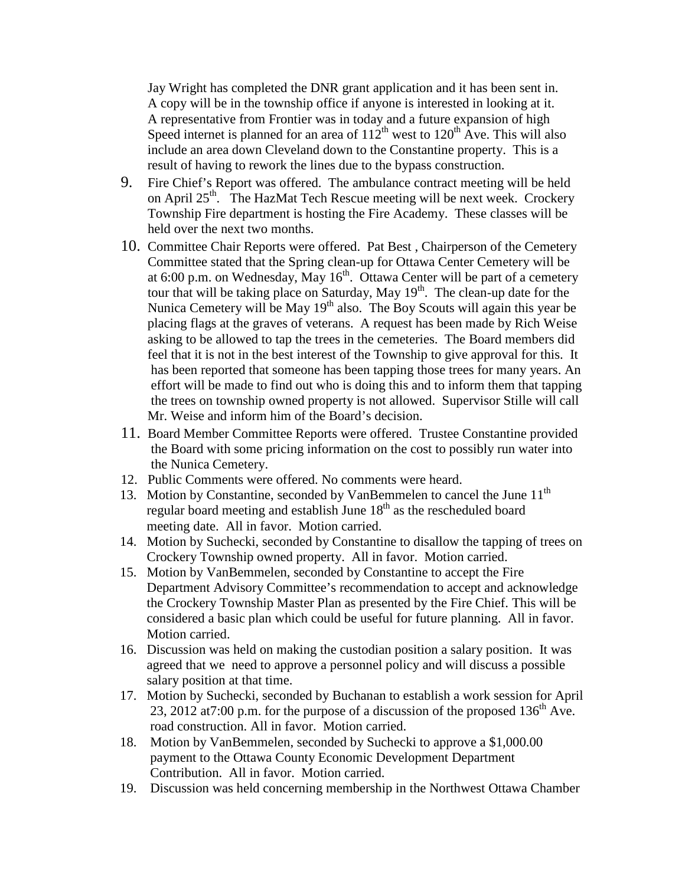Jay Wright has completed the DNR grant application and it has been sent in. A copy will be in the township office if anyone is interested in looking at it. A representative from Frontier was in today and a future expansion of high Speed internet is planned for an area of  $112^{th}$  west to  $120^{th}$  Ave. This will also include an area down Cleveland down to the Constantine property. This is a result of having to rework the lines due to the bypass construction.

- 9. Fire Chief's Report was offered. The ambulance contract meeting will be held on April 25<sup>th</sup>. The HazMat Tech Rescue meeting will be next week. Crockery Township Fire department is hosting the Fire Academy. These classes will be held over the next two months.
- 10. Committee Chair Reports were offered. Pat Best , Chairperson of the Cemetery Committee stated that the Spring clean-up for Ottawa Center Cemetery will be at 6:00 p.m. on Wednesday, May  $16<sup>th</sup>$ . Ottawa Center will be part of a cemetery tour that will be taking place on Saturday, May 19<sup>th</sup>. The clean-up date for the Nunica Cemetery will be May  $19<sup>th</sup>$  also. The Boy Scouts will again this year be placing flags at the graves of veterans. A request has been made by Rich Weise asking to be allowed to tap the trees in the cemeteries. The Board members did feel that it is not in the best interest of the Township to give approval for this. It has been reported that someone has been tapping those trees for many years. An effort will be made to find out who is doing this and to inform them that tapping the trees on township owned property is not allowed. Supervisor Stille will call Mr. Weise and inform him of the Board's decision.
- 11. Board Member Committee Reports were offered. Trustee Constantine provided the Board with some pricing information on the cost to possibly run water into the Nunica Cemetery.
- 12. Public Comments were offered. No comments were heard.
- 13. Motion by Constantine, seconded by VanBemmelen to cancel the June 11<sup>th</sup> regular board meeting and establish June 18<sup>th</sup> as the rescheduled board meeting date. All in favor. Motion carried.
- 14. Motion by Suchecki, seconded by Constantine to disallow the tapping of trees on Crockery Township owned property. All in favor. Motion carried.
- 15. Motion by VanBemmelen, seconded by Constantine to accept the Fire Department Advisory Committee's recommendation to accept and acknowledge the Crockery Township Master Plan as presented by the Fire Chief. This will be considered a basic plan which could be useful for future planning. All in favor. Motion carried.
- 16. Discussion was held on making the custodian position a salary position. It was agreed that we need to approve a personnel policy and will discuss a possible salary position at that time.
- 17. Motion by Suchecki, seconded by Buchanan to establish a work session for April 23, 2012 at 7:00 p.m. for the purpose of a discussion of the proposed  $136<sup>th</sup>$  Ave. road construction. All in favor. Motion carried.
- 18. Motion by VanBemmelen, seconded by Suchecki to approve a \$1,000.00 payment to the Ottawa County Economic Development Department Contribution. All in favor. Motion carried.
- 19. Discussion was held concerning membership in the Northwest Ottawa Chamber